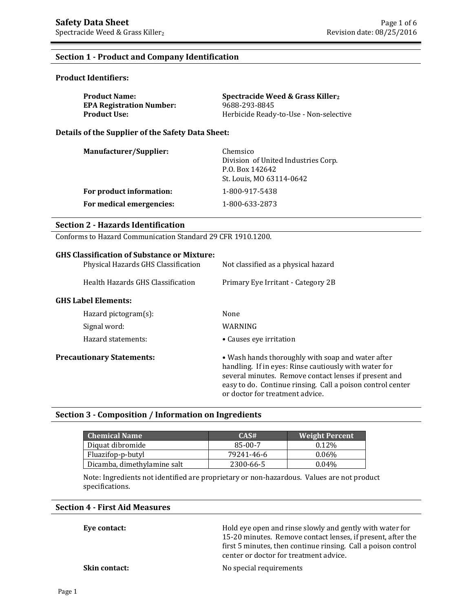### **Section 1 - Product and Company Identification**

### **Product Identifiers:**

| <b>Product Name:</b>            | Spectracide Weed & Grass Killer <sub>2</sub> |
|---------------------------------|----------------------------------------------|
| <b>EPA Registration Number:</b> | 9688-293-8845                                |
| <b>Product Use:</b>             | Herbicide Ready-to-Use - Non-selective       |

### **Details of the Supplier of the Safety Data Sheet:**

| <b>Manufacturer/Supplier:</b> | Chemsico<br>Division of United Industries Corp.<br>P.O. Box 142642<br>St. Louis, MO 63114-0642 |
|-------------------------------|------------------------------------------------------------------------------------------------|
| For product information:      | 1-800-917-5438                                                                                 |
| For medical emergencies:      | 1-800-633-2873                                                                                 |

### **Section 2 - Hazards Identification**

Conforms to Hazard Communication Standard 29 CFR 1910.1200.

| <b>GHS Classification of Substance or Mixture:</b><br>Physical Hazards GHS Classification | Not classified as a physical hazard                                                                                                                                                                                                                                  |
|-------------------------------------------------------------------------------------------|----------------------------------------------------------------------------------------------------------------------------------------------------------------------------------------------------------------------------------------------------------------------|
| Health Hazards GHS Classification                                                         | Primary Eye Irritant - Category 2B                                                                                                                                                                                                                                   |
| <b>GHS Label Elements:</b>                                                                |                                                                                                                                                                                                                                                                      |
| Hazard pictogram $(s)$ :                                                                  | None                                                                                                                                                                                                                                                                 |
| Signal word:                                                                              | WARNING                                                                                                                                                                                                                                                              |
| Hazard statements:                                                                        | • Causes eye irritation                                                                                                                                                                                                                                              |
| <b>Precautionary Statements:</b>                                                          | • Wash hands thoroughly with soap and water after<br>handling. If in eyes: Rinse cautiously with water for<br>several minutes. Remove contact lenses if present and<br>easy to do. Continue rinsing. Call a poison control center<br>or doctor for treatment advice. |

## **Section 3 - Composition / Information on Ingredients**

| <b>Chemical Name</b>        | CAS#       | <b>Weight Percent</b> |
|-----------------------------|------------|-----------------------|
| Diquat dibromide            | 85-00-7    | $0.12\%$              |
| Fluazifop-p-butyl           | 79241-46-6 | $0.06\%$              |
| Dicamba, dimethylamine salt | 2300-66-5  | 0.04%                 |

Note: Ingredients not identified are proprietary or non-hazardous. Values are not product specifications.

## **Section 4 - First Aid Measures**

**Eye contact: Exercise 3** Hold eye open and rinse slowly and gently with water for 15-20 minutes. Remove contact lenses, if present, after the first 5 minutes, then continue rinsing. Call a poison control center or doctor for treatment advice.

**Skin contact:** No special requirements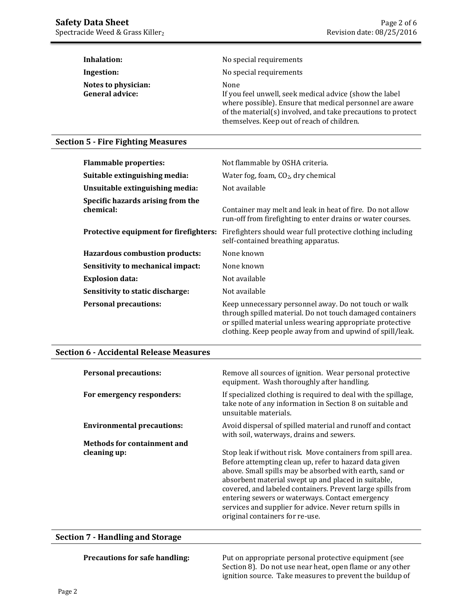| Inhalation:                                   | No special requirements                                                                                                                                                                                                                   |
|-----------------------------------------------|-------------------------------------------------------------------------------------------------------------------------------------------------------------------------------------------------------------------------------------------|
| Ingestion:                                    | No special requirements                                                                                                                                                                                                                   |
| Notes to physician:<br><b>General advice:</b> | None<br>If you feel unwell, seek medical advice (show the label<br>where possible). Ensure that medical personnel are aware<br>of the material(s) involved, and take precautions to protect<br>themselves. Keep out of reach of children. |

## **Section 5 - Fire Fighting Measures**

| <b>Flammable properties:</b>                   | Not flammable by OSHA criteria.                                                                                                                                                                                                              |
|------------------------------------------------|----------------------------------------------------------------------------------------------------------------------------------------------------------------------------------------------------------------------------------------------|
| Suitable extinguishing media:                  | Water fog, foam, $CO2$ , dry chemical                                                                                                                                                                                                        |
| Unsuitable extinguishing media:                | Not available                                                                                                                                                                                                                                |
| Specific hazards arising from the<br>chemical: | Container may melt and leak in heat of fire. Do not allow<br>run-off from firefighting to enter drains or water courses.                                                                                                                     |
| Protective equipment for firefighters:         | Firefighters should wear full protective clothing including<br>self-contained breathing apparatus.                                                                                                                                           |
| <b>Hazardous combustion products:</b>          | None known                                                                                                                                                                                                                                   |
| Sensitivity to mechanical impact:              | None known                                                                                                                                                                                                                                   |
| <b>Explosion data:</b>                         | Not available                                                                                                                                                                                                                                |
| Sensitivity to static discharge:               | Not available                                                                                                                                                                                                                                |
| <b>Personal precautions:</b>                   | Keep unnecessary personnel away. Do not touch or walk<br>through spilled material. Do not touch damaged containers<br>or spilled material unless wearing appropriate protective<br>clothing. Keep people away from and upwind of spill/leak. |

### **Section 6 - Accidental Release Measures**

| <b>Personal precautions:</b>       | Remove all sources of ignition. Wear personal protective<br>equipment. Wash thoroughly after handling.                                                                                                                                                                                                                                                                                                                                                  |
|------------------------------------|---------------------------------------------------------------------------------------------------------------------------------------------------------------------------------------------------------------------------------------------------------------------------------------------------------------------------------------------------------------------------------------------------------------------------------------------------------|
| For emergency responders:          | If specialized clothing is required to deal with the spillage,<br>take note of any information in Section 8 on suitable and<br>unsuitable materials.                                                                                                                                                                                                                                                                                                    |
| <b>Environmental precautions:</b>  | Avoid dispersal of spilled material and runoff and contact<br>with soil, waterways, drains and sewers.                                                                                                                                                                                                                                                                                                                                                  |
| <b>Methods for containment and</b> |                                                                                                                                                                                                                                                                                                                                                                                                                                                         |
| cleaning up:                       | Stop leak if without risk. Move containers from spill area.<br>Before attempting clean up, refer to hazard data given<br>above. Small spills may be absorbed with earth, sand or<br>absorbent material swept up and placed in suitable,<br>covered, and labeled containers. Prevent large spills from<br>entering sewers or waterways. Contact emergency<br>services and supplier for advice. Never return spills in<br>original containers for re-use. |

### **Section 7 - Handling and Storage**

**Precautions for safe handling:** Put on appropriate personal protective equipment (see Section 8). Do not use near heat, open flame or any other ignition source. Take measures to prevent the buildup of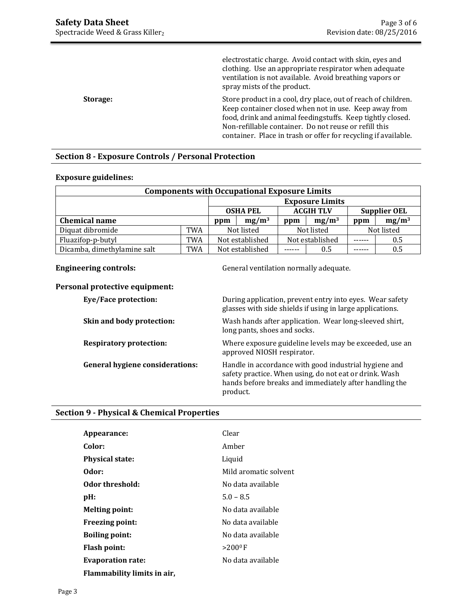|                 | electrostatic charge. Avoid contact with skin, eyes and<br>clothing. Use an appropriate respirator when adequate<br>ventilation is not available. Avoid breathing vapors or<br>spray mists of the product. |
|-----------------|------------------------------------------------------------------------------------------------------------------------------------------------------------------------------------------------------------|
| <b>Storage:</b> | Store product in a cool, dry place, out of reach of children.<br>Keep container closed when not in use. Keep away from<br>food, drink and animal feedingstuffs. Keep tightly closed.                       |
|                 | Non-refillable container. Do not reuse or refill this                                                                                                                                                      |
|                 | container. Place in trash or offer for recycling if available.                                                                                                                                             |

## **Section 8 - Exposure Controls / Personal Protection**

### **Exposure guidelines:**

| <b>Components with Occupational Exposure Limits</b> |     |                 |                        |            |                                         |     |            |
|-----------------------------------------------------|-----|-----------------|------------------------|------------|-----------------------------------------|-----|------------|
|                                                     |     |                 | <b>Exposure Limits</b> |            |                                         |     |            |
|                                                     |     | <b>OSHA PEL</b> |                        |            | <b>ACGIH TLV</b><br><b>Supplier OEL</b> |     |            |
| <b>Chemical name</b>                                |     | ppm             | $mg/m^3$               | ppm        | $mg/m^3$                                | ppm | $mg/m^3$   |
| Diquat dibromide                                    | TWA | Not listed      |                        | Not listed |                                         |     | Not listed |
| Fluazifop-p-butyl                                   | TWA | Not established |                        |            | Not established                         |     | 0.5        |
| Dicamba, dimethylamine salt                         | TWA | Not established |                        |            | 0.5                                     |     | 0.5        |

**Engineering controls:** General ventilation normally adequate.

### **Personal protective equipment:**

| <b>Eye/Face protection:</b>            | During application, prevent entry into eyes. Wear safety<br>glasses with side shields if using in large applications.                                                                 |
|----------------------------------------|---------------------------------------------------------------------------------------------------------------------------------------------------------------------------------------|
| Skin and body protection:              | Wash hands after application. Wear long-sleeved shirt,<br>long pants, shoes and socks.                                                                                                |
| <b>Respiratory protection:</b>         | Where exposure guideline levels may be exceeded, use an<br>approved NIOSH respirator.                                                                                                 |
| <b>General hygiene considerations:</b> | Handle in accordance with good industrial hygiene and<br>safety practice. When using, do not eat or drink. Wash<br>hands before breaks and immediately after handling the<br>product. |

## **Section 9 - Physical & Chemical Properties**

| Appearance:                 | Clear                  |
|-----------------------------|------------------------|
| Color:                      | Amber                  |
| <b>Physical state:</b>      | Liquid                 |
| Odor:                       | Mild aromatic solvent  |
| Odor threshold:             | No data available      |
| pH:                         | $5.0 - 8.5$            |
| <b>Melting point:</b>       | No data available      |
| <b>Freezing point:</b>      | No data available      |
| <b>Boiling point:</b>       | No data available      |
| <b>Flash point:</b>         | $>$ 200 <sup>0</sup> F |
| <b>Evaporation rate:</b>    | No data available      |
| Flammability limits in air, |                        |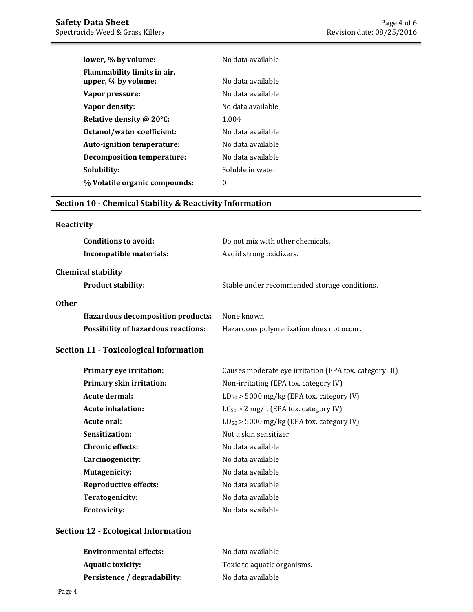| lower, % by volume:                                | No data available |
|----------------------------------------------------|-------------------|
| Flammability limits in air.<br>upper, % by volume: | No data available |
| Vapor pressure:                                    | No data available |
| Vapor density:                                     | No data available |
| Relative density @ 20°C:                           | 1.004             |
| Octanol/water coefficient:                         | No data available |
| Auto-ignition temperature:                         | No data available |
| Decomposition temperature:                         | No data available |
| Solubility:                                        | Soluble in water  |
| % Volatile organic compounds:                      | $\theta$          |

## **Section 10 - Chemical Stability & Reactivity Information**

# **Reactivity**

| Do not mix with other chemicals.<br>Avoid strong oxidizers. |
|-------------------------------------------------------------|
| Stable under recommended storage conditions.                |
| None known<br>Hazardous polymerization does not occur.      |
|                                                             |

# **Section 11 - Toxicological Information**

| Primary eye irritation:         | Causes moderate eye irritation (EPA tox. category III) |
|---------------------------------|--------------------------------------------------------|
| <b>Primary skin irritation:</b> | Non-irritating (EPA tox. category IV)                  |
| Acute dermal:                   | $LD_{50}$ > 5000 mg/kg (EPA tox. category IV)          |
| Acute inhalation:               | $LC_{50} > 2$ mg/L (EPA tox. category IV)              |
| Acute oral:                     | $LD_{50}$ > 5000 mg/kg (EPA tox. category IV)          |
| Sensitization:                  | Not a skin sensitizer.                                 |
| <b>Chronic effects:</b>         | No data available                                      |
| Carcinogenicity:                | No data available                                      |
| <b>Mutagenicity:</b>            | No data available                                      |
| <b>Reproductive effects:</b>    | No data available                                      |
| Teratogenicity:                 | No data available                                      |
| <b>Ecotoxicity:</b>             | No data available                                      |

## **Section 12 - Ecological Information**

| <b>Environmental effects:</b> | No data available           |
|-------------------------------|-----------------------------|
| <b>Aquatic toxicity:</b>      | Toxic to aquatic organisms. |
| Persistence / degradability:  | No data available           |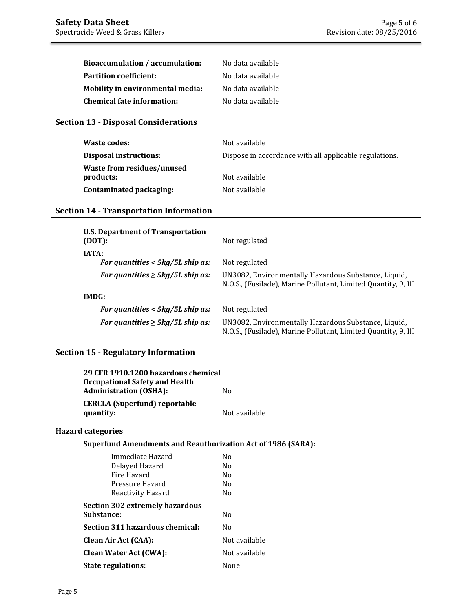| Bioaccumulation / accumulation:   | No data available |
|-----------------------------------|-------------------|
| <b>Partition coefficient:</b>     | No data available |
| Mobility in environmental media:  | No data available |
| <b>Chemical fate information:</b> | No data available |

# **Section 13 - Disposal Considerations**

| Waste codes:                  | Not available                                          |
|-------------------------------|--------------------------------------------------------|
| <b>Disposal instructions:</b> | Dispose in accordance with all applicable regulations. |
| Waste from residues/unused    |                                                        |
| products:                     | Not available                                          |
| Contaminated packaging:       | Not available                                          |

# **Section 14 - Transportation Information**

| U.S. Department of Transportation<br>(DOT):    | Not regulated                                                                                                          |
|------------------------------------------------|------------------------------------------------------------------------------------------------------------------------|
| <b>IATA:</b>                                   |                                                                                                                        |
| For quantities $<$ 5kg/5L ship as:             | Not regulated                                                                                                          |
| For quantities $\geq 5 \frac{kg}{5L}$ ship as: | UN3082, Environmentally Hazardous Substance, Liquid,<br>N.O.S., (Fusilade), Marine Pollutant, Limited Quantity, 9, III |
| IMDG:                                          |                                                                                                                        |
| For quantities $<$ 5kg/5L ship as:             | Not regulated                                                                                                          |
| For quantities $\geq$ 5kg/5L ship as:          | UN3082, Environmentally Hazardous Substance, Liquid,<br>N.O.S., (Fusilade), Marine Pollutant, Limited Quantity, 9, III |

# **Section 15 - Regulatory Information**

| 29 CFR 1910.1200 hazardous chemical<br><b>Occupational Safety and Health</b> |                |
|------------------------------------------------------------------------------|----------------|
| <b>Administration (OSHA):</b>                                                | N <sub>0</sub> |
| <b>CERCLA</b> (Superfund) reportable<br>quantity:                            | Not available  |
| <b>Hazard categories</b>                                                     |                |
| <b>Superfund Amendments and Reauthorization Act of 1986 (SARA):</b>          |                |
| Immediate Hazard                                                             | N <sub>0</sub> |
| Delayed Hazard                                                               | N <sub>0</sub> |
| Fire Hazard                                                                  | No.            |
| Pressure Hazard                                                              | No.            |
| Reactivity Hazard                                                            | N <sub>0</sub> |
| <b>Section 302 extremely hazardous</b>                                       |                |
| Substance:                                                                   | N <sub>0</sub> |
| Section 311 hazardous chemical:                                              | N <sub>0</sub> |
| <b>Clean Air Act (CAA):</b>                                                  | Not available  |
| <b>Clean Water Act (CWA):</b>                                                | Not available  |
| <b>State regulations:</b>                                                    | None           |